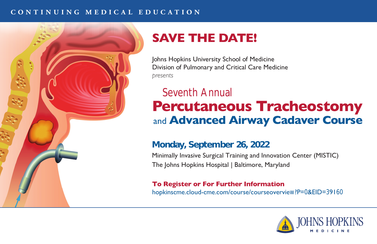#### **CONTINUING MEDICAL EDUCATION**



# **SAVE THE DATE!**

Johns Hopkins University School of Medicine Division of Pulmonary and Critical Care Medicine *presents*

# Seventh Annual **Percutaneous Tracheostomy** and **Advanced Airway Cadaver Course**

### **Monday, September 26, 2022**

Minimally Invasive Surgical Training and Innovation Center (MISTIC) The Johns Hopkins Hospital | Baltimore, Maryland

**To Register or For Further Information** hopkinscme.cloud-cme.com/course/courseoverview?P=0&EID=39160